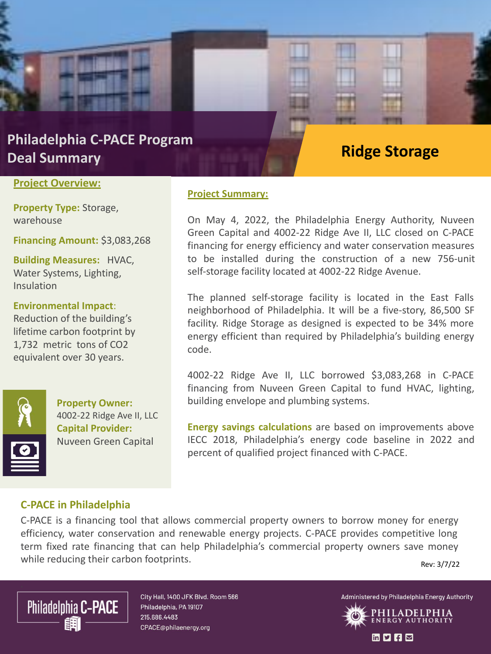### **Philadelphia C-PACE Program Deal Summary**

#### **Project Overview:**

**Property Type:** Storage, warehouse

**Financing Amount:** \$3,083,268

**These and Project Idea**<br>Insulation **Building Measures:** HVAC, Water Systems, Lighting,

**Environmental Impact**:

Reduction of the building's lifetime carbon footprint by 1,732 metric tons of CO2 equivalent over 30 years.



**Property Owner:** 4002-22 Ridge Ave II, LLC **Capital Provider:**  Nuveen Green Capital

### **Project Summary:**

On May 4, 2022, the Philadelphia Energy Authority, Nuveen Green Capital and 4002-22 Ridge Ave II, LLC closed on C-PACE financing for energy efficiency and water conservation measures to be installed during the construction of a new 756-unit

**Ridge Storage**

The planned self-storage facility is located in the East Falls neighborhood of Philadelphia. It will be a five-story, 86,500 SF facility. Ridge Storage as designed is expected to be 34% more energy efficient than required by Philadelphia's building energy code.

self-storage facility located at 4002-22 Ridge Avenue.

4002-22 Ridge Ave II, LLC borrowed \$3,083,268 in C-PACE financing from Nuveen Green Capital to fund HVAC, lighting, building envelope and plumbing systems.

**Energy savings calculations** are based on improvements above IECC 2018, Philadelphia's energy code baseline in 2022 and percent of qualified project financed with C-PACE.

### **C-PACE in Philadelphia**

C-PACE is a financing tool that allows commercial property owners to borrow money for energy efficiency, water conservation and renewable energy projects. C-PACE provides competitive long term fixed rate financing that can help Philadelphia's commercial property owners save money while reducing their carbon footprints. Rev: 3/7/22



City Hall, 1400 JFK Blvd. Room 566 Philadelphia, PA 19107 215.686.4483 CPACE@philaenergy.org

Administered by Philadelphia Energy Authority